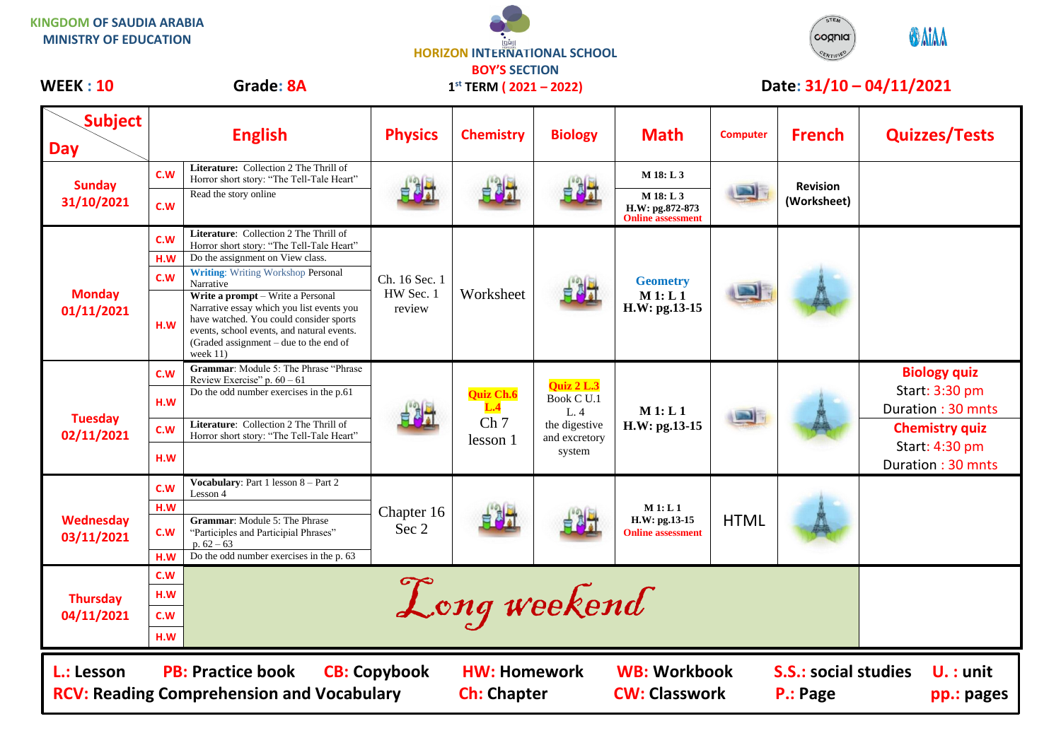**KINGDOM OF SAUDIA ARABIA MINISTRY OF EDUCATION**





| <b>Subject</b><br><b>Day</b>                                                                                                                                                                                                                                                          |                          | <b>English</b>                                                                                                                                                                                                                                                                                                                                                                                                       | <b>Physics</b>                       | <b>Chemistry</b>                                | <b>Biology</b>                                                              | <b>Math</b>                                                           | <b>Computer</b> | <b>French</b>                  | <b>Quizzes/Tests</b>                                                                                                       |
|---------------------------------------------------------------------------------------------------------------------------------------------------------------------------------------------------------------------------------------------------------------------------------------|--------------------------|----------------------------------------------------------------------------------------------------------------------------------------------------------------------------------------------------------------------------------------------------------------------------------------------------------------------------------------------------------------------------------------------------------------------|--------------------------------------|-------------------------------------------------|-----------------------------------------------------------------------------|-----------------------------------------------------------------------|-----------------|--------------------------------|----------------------------------------------------------------------------------------------------------------------------|
| <b>Sunday</b><br>31/10/2021                                                                                                                                                                                                                                                           | C.W<br>C.W               | Literature: Collection 2 The Thrill of<br>Horror short story: "The Tell-Tale Heart"<br>Read the story online                                                                                                                                                                                                                                                                                                         |                                      | 自制计                                             | 自例式                                                                         | M 18: L 3<br>M 18: L 3<br>H.W: pg.872-873<br><b>Online assessment</b> |                 | <b>Revision</b><br>(Worksheet) |                                                                                                                            |
| <b>Monday</b><br>01/11/2021                                                                                                                                                                                                                                                           | C.W<br>H.W<br>C.W<br>H.W | Literature: Collection 2 The Thrill of<br>Horror short story: "The Tell-Tale Heart"<br>Do the assignment on View class.<br><b>Writing:</b> Writing Workshop Personal<br>Narrative<br>Write a prompt - Write a Personal<br>Narrative essay which you list events you<br>have watched. You could consider sports<br>events, school events, and natural events.<br>(Graded assignment - due to the end of<br>week $11)$ | Ch. 16 Sec. 1<br>HW Sec. 1<br>review | Worksheet                                       |                                                                             | <b>Geometry</b><br>M 1: L 1<br>H.W: pg.13-15                          |                 |                                |                                                                                                                            |
| <b>Tuesday</b><br>02/11/2021                                                                                                                                                                                                                                                          | C.W<br>H.W<br>C.W<br>H.W | Grammar: Module 5: The Phrase "Phrase<br>Review Exercise" p. $60 - 61$<br>Do the odd number exercises in the p.61<br>Literature: Collection 2 The Thrill of<br>Horror short story: "The Tell-Tale Heart"                                                                                                                                                                                                             |                                      | Quiz Ch.6<br>L.4<br>Ch <sub>7</sub><br>lesson 1 | Quiz 2 L.3<br>Book C U.1<br>L.4<br>the digestive<br>and excretory<br>system | M1: L1<br>H.W: pg.13-15                                               |                 |                                | <b>Biology quiz</b><br>Start: 3:30 pm<br>Duration: 30 mnts<br><b>Chemistry quiz</b><br>Start: 4:30 pm<br>Duration: 30 mnts |
| <b>Wednesday</b><br>03/11/2021                                                                                                                                                                                                                                                        | C.W<br>H.W<br>C.W<br>H.W | Vocabulary: Part 1 lesson 8 - Part 2<br>Lesson 4<br>Grammar: Module 5: The Phrase<br>"Participles and Participial Phrases"<br>$p. 62 - 63$<br>Do the odd number exercises in the p. 63                                                                                                                                                                                                                               | Chapter 16<br>Sec 2                  |                                                 |                                                                             | M1: L1<br>$H.W: pg.13-15$<br><b>Online assessment</b>                 | <b>HTML</b>     |                                |                                                                                                                            |
| <b>Thursday</b><br>04/11/2021                                                                                                                                                                                                                                                         | C.W<br>H.W<br>C.W<br>H.W | Long weekend                                                                                                                                                                                                                                                                                                                                                                                                         |                                      |                                                 |                                                                             |                                                                       |                 |                                |                                                                                                                            |
| <b>WB: Workbook</b><br><b>S.S.: social studies</b><br>L.: Lesson<br><b>PB: Practice book</b><br><b>CB: Copybook</b><br><b>HW: Homework</b><br>$U.$ : unit<br><b>RCV: Reading Comprehension and Vocabulary</b><br><b>Ch: Chapter</b><br><b>CW: Classwork</b><br>P.: Page<br>pp.: pages |                          |                                                                                                                                                                                                                                                                                                                                                                                                                      |                                      |                                                 |                                                                             |                                                                       |                 |                                |                                                                                                                            |